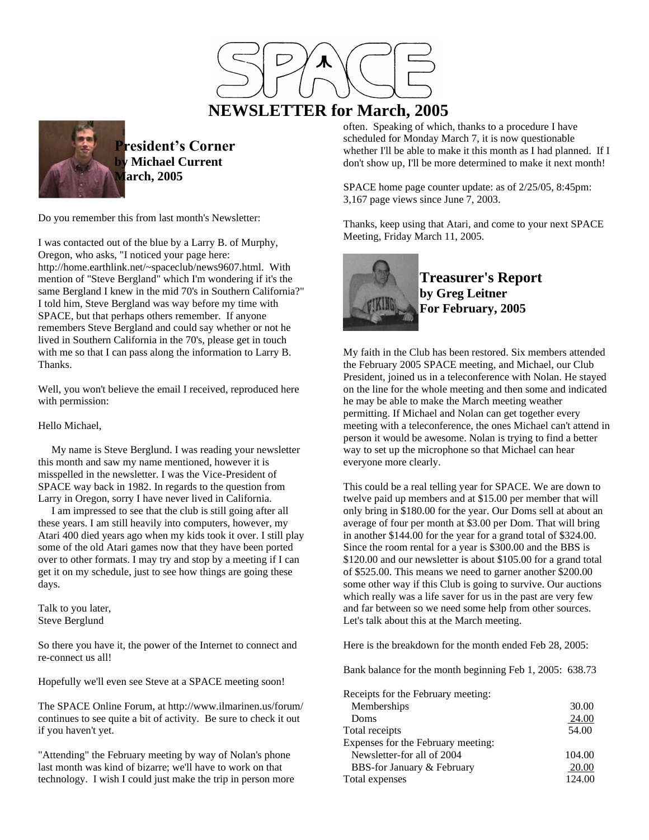

# **NEWSLETTER for March, 2005**



**President's Corner Michael Current March, 2005**

Do you remember this from last month's Newsletter:

I was contacted out of the blue by a Larry B. of Murphy, Oregon, who asks, "I noticed your page here: http://home.earthlink.net/~spaceclub/news9607.html. With mention of "Steve Bergland" which I'm wondering if it's the same Bergland I knew in the mid 70's in Southern California?" I told him, Steve Bergland was way before my time with SPACE, but that perhaps others remember. If anyone remembers Steve Bergland and could say whether or not he lived in Southern California in the 70's, please get in touch with me so that I can pass along the information to Larry B. Thanks.

Well, you won't believe the email I received, reproduced here with permission:

Hello Michael,

 My name is Steve Berglund. I was reading your newsletter this month and saw my name mentioned, however it is misspelled in the newsletter. I was the Vice-President of SPACE way back in 1982. In regards to the question from Larry in Oregon, sorry I have never lived in California.

 I am impressed to see that the club is still going after all these years. I am still heavily into computers, however, my Atari 400 died years ago when my kids took it over. I still play some of the old Atari games now that they have been ported over to other formats. I may try and stop by a meeting if I can get it on my schedule, just to see how things are going these days.

Talk to you later, Steve Berglund

So there you have it, the power of the Internet to connect and re-connect us all!

Hopefully we'll even see Steve at a SPACE meeting soon!

The SPACE Online Forum, at http://www.ilmarinen.us/forum/ continues to see quite a bit of activity. Be sure to check it out if you haven't yet.

"Attending" the February meeting by way of Nolan's phone last month was kind of bizarre; we'll have to work on that technology. I wish I could just make the trip in person more often. Speaking of which, thanks to a procedure I have scheduled for Monday March 7, it is now questionable whether I'll be able to make it this month as I had planned. If I don't show up, I'll be more determined to make it next month!

SPACE home page counter update: as of 2/25/05, 8:45pm: 3,167 page views since June 7, 2003.

Thanks, keep using that Atari, and come to your next SPACE Meeting, Friday March 11, 2005.



**Treasurer's Report by Greg Leitner For February, 2005**

My faith in the Club has been restored. Six members attended the February 2005 SPACE meeting, and Michael, our Club President, joined us in a teleconference with Nolan. He stayed on the line for the whole meeting and then some and indicated he may be able to make the March meeting weather permitting. If Michael and Nolan can get together every meeting with a teleconference, the ones Michael can't attend in person it would be awesome. Nolan is trying to find a better way to set up the microphone so that Michael can hear everyone more clearly.

This could be a real telling year for SPACE. We are down to twelve paid up members and at \$15.00 per member that will only bring in \$180.00 for the year. Our Doms sell at about an average of four per month at \$3.00 per Dom. That will bring in another \$144.00 for the year for a grand total of \$324.00. Since the room rental for a year is \$300.00 and the BBS is \$120.00 and our newsletter is about \$105.00 for a grand total of \$525.00. This means we need to garner another \$200.00 some other way if this Club is going to survive. Our auctions which really was a life saver for us in the past are very few and far between so we need some help from other sources. Let's talk about this at the March meeting.

Here is the breakdown for the month ended Feb 28, 2005:

Bank balance for the month beginning Feb 1, 2005: 638.73

| Receipts for the February meeting: |        |
|------------------------------------|--------|
| Memberships                        | 30.00  |
| Doms                               | 24.00  |
| Total receipts                     | 54.00  |
| Expenses for the February meeting: |        |
| Newsletter-for all of 2004         | 104.00 |
| BBS-for January & February         | 20.00  |
| Total expenses                     | 124.00 |
|                                    |        |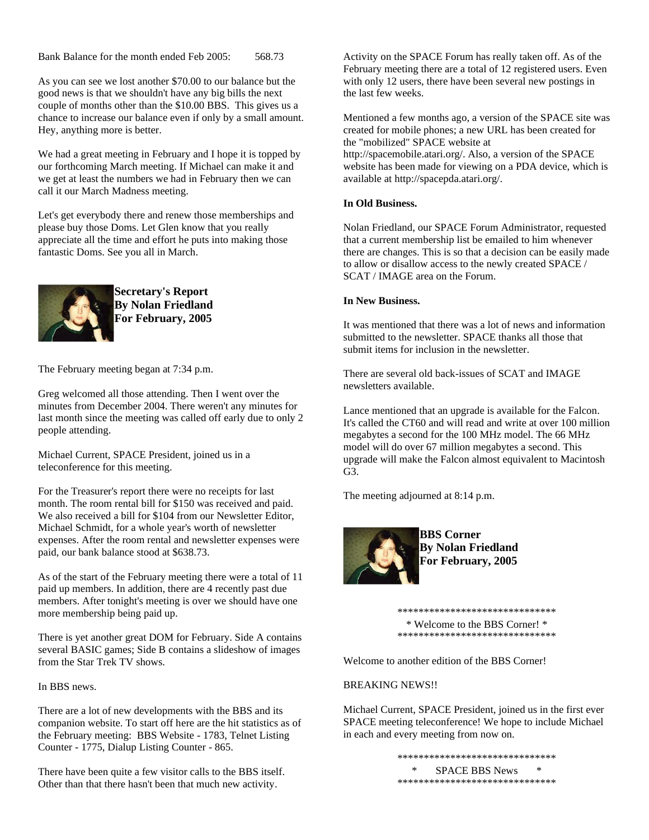Bank Balance for the month ended Feb 2005: 568.73

As you can see we lost another \$70.00 to our balance but the good news is that we shouldn't have any big bills the next couple of months other than the \$10.00 BBS. This gives us a chance to increase our balance even if only by a small amount. Hey, anything more is better.

We had a great meeting in February and I hope it is topped by our forthcoming March meeting. If Michael can make it and we get at least the numbers we had in February then we can call it our March Madness meeting.

Let's get everybody there and renew those memberships and please buy those Doms. Let Glen know that you really appreciate all the time and effort he puts into making those fantastic Doms. See you all in March.



**Secretary's Report By Nolan Friedland For February, 2005**

The February meeting began at 7:34 p.m.

Greg welcomed all those attending. Then I went over the minutes from December 2004. There weren't any minutes for last month since the meeting was called off early due to only 2 people attending.

Michael Current, SPACE President, joined us in a teleconference for this meeting.

For the Treasurer's report there were no receipts for last month. The room rental bill for \$150 was received and paid. We also received a bill for \$104 from our Newsletter Editor. Michael Schmidt, for a whole year's worth of newsletter expenses. After the room rental and newsletter expenses were paid, our bank balance stood at \$638.73.

As of the start of the February meeting there were a total of 11 paid up members. In addition, there are 4 recently past due members. After tonight's meeting is over we should have one more membership being paid up.

There is yet another great DOM for February. Side A contains several BASIC games; Side B contains a slideshow of images from the Star Trek TV shows.

In BBS news.

There are a lot of new developments with the BBS and its companion website. To start off here are the hit statistics as of the February meeting: BBS Website - 1783, Telnet Listing Counter - 1775, Dialup Listing Counter - 865.

There have been quite a few visitor calls to the BBS itself. Other than that there hasn't been that much new activity.

Activity on the SPACE Forum has really taken off. As of the February meeting there are a total of 12 registered users. Even with only 12 users, there have been several new postings in the last few weeks.

Mentioned a few months ago, a version of the SPACE site was created for mobile phones; a new URL has been created for the "mobilized" SPACE website at http://spacemobile.atari.org/. Also, a version of the SPACE website has been made for viewing on a PDA device, which is available at http://spacepda.atari.org/.

# **In Old Business.**

Nolan Friedland, our SPACE Forum Administrator, requested that a current membership list be emailed to him whenever there are changes. This is so that a decision can be easily made to allow or disallow access to the newly created SPACE / SCAT / IMAGE area on the Forum.

# **In New Business.**

It was mentioned that there was a lot of news and information submitted to the newsletter. SPACE thanks all those that submit items for inclusion in the newsletter.

There are several old back-issues of SCAT and IMAGE newsletters available.

Lance mentioned that an upgrade is available for the Falcon. It's called the CT60 and will read and write at over 100 million megabytes a second for the 100 MHz model. The 66 MHz model will do over 67 million megabytes a second. This upgrade will make the Falcon almost equivalent to Macintosh G3.

The meeting adjourned at 8:14 p.m.



**BBS Corner By Nolan Friedland For February, 2005**

\*\*\*\*\*\*\*\*\*\*\*\*\*\*\*\*\*\*\*\*\*\*\*\*\*\*\*\*\*\* \* Welcome to the BBS Corner! \*

\*\*\*\*\*\*\*\*\*\*\*\*\*\*\*\*\*\*\*\*\*\*\*\*\*\*

Welcome to another edition of the BBS Corner!

# BREAKING NEWS!!

Michael Current, SPACE President, joined us in the first ever SPACE meeting teleconference! We hope to include Michael in each and every meeting from now on.

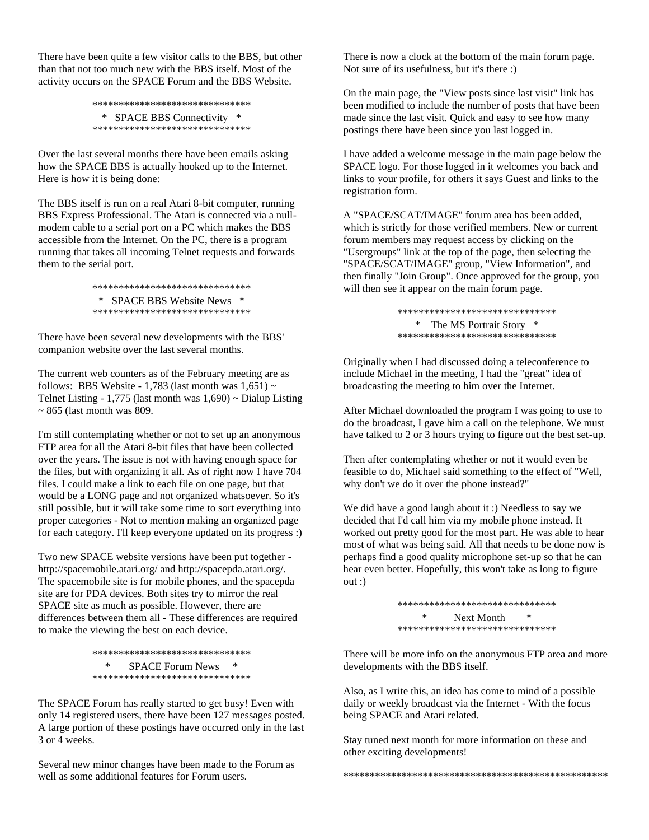There have been quite a few visitor calls to the BBS, but other than that not too much new with the BBS itself. Most of the activity occurs on the SPACE Forum and the BBS Website.

```
******************************
 * SPACE BBS Connectivity *
******************************
```
Over the last several months there have been emails asking how the SPACE BBS is actually hooked up to the Internet. Here is how it is being done:

The BBS itself is run on a real Atari 8-bit computer, running BBS Express Professional. The Atari is connected via a nullmodem cable to a serial port on a PC which makes the BBS accessible from the Internet. On the PC, there is a program running that takes all incoming Telnet requests and forwards them to the serial port.

> \*\*\*\*\*\*\*\*\*\*\*\*\*\*\*\*\*\*\*\*\*\*\*\*\*\*\*\*\*\* \* SPACE BBS Website News \* \*\*\*\*\*\*\*\*\*\*\*\*\*\*\*\*\*\*\*\*\*\*\*\*\*\*\*\*\*\*

There have been several new developments with the BBS' companion website over the last several months.

The current web counters as of the February meeting are as follows: BBS Website - 1,783 (last month was  $1,651$ ) ~ Telnet Listing - 1,775 (last month was  $1,690$ ) ~ Dialup Listing  $\sim$  865 (last month was 809.

I'm still contemplating whether or not to set up an anonymous FTP area for all the Atari 8-bit files that have been collected over the years. The issue is not with having enough space for the files, but with organizing it all. As of right now I have 704 files. I could make a link to each file on one page, but that would be a LONG page and not organized whatsoever. So it's still possible, but it will take some time to sort everything into proper categories - Not to mention making an organized page for each category. I'll keep everyone updated on its progress :)

Two new SPACE website versions have been put together http://spacemobile.atari.org/ and http://spacepda.atari.org/. The spacemobile site is for mobile phones, and the spacepda site are for PDA devices. Both sites try to mirror the real SPACE site as much as possible. However, there are differences between them all - These differences are required to make the viewing the best on each device.

> \*\*\*\*\*\*\*\*\*\*\*\*\*\*\*\*\*\*\*\*\*\*\*\*\*\*\*\*\*\* \* SPACE Forum News \* \*\*\*\*\*\*\*\*\*\*\*\*\*\*\*\*\*\*\*\*\*\*\*\*\*\*\*\*\*\*

The SPACE Forum has really started to get busy! Even with only 14 registered users, there have been 127 messages posted. A large portion of these postings have occurred only in the last 3 or 4 weeks.

Several new minor changes have been made to the Forum as well as some additional features for Forum users.

There is now a clock at the bottom of the main forum page. Not sure of its usefulness, but it's there :)

On the main page, the "View posts since last visit" link has been modified to include the number of posts that have been made since the last visit. Quick and easy to see how many postings there have been since you last logged in.

I have added a welcome message in the main page below the SPACE logo. For those logged in it welcomes you back and links to your profile, for others it says Guest and links to the registration form.

A "SPACE/SCAT/IMAGE" forum area has been added, which is strictly for those verified members. New or current forum members may request access by clicking on the "Usergroups" link at the top of the page, then selecting the "SPACE/SCAT/IMAGE" group, "View Information", and then finally "Join Group". Once approved for the group, you will then see it appear on the main forum page.

> \*\*\*\*\*\*\*\*\*\*\*\*\*\*\*\*\*\*\*\*\*\*\*\*\*\*\*\*\*\* \* The MS Portrait Story \* \*\*\*\*\*\*\*\*\*\*\*\*\*\*\*\*\*\*\*\*\*\*\*\*\*\*\*\*\*\*

Originally when I had discussed doing a teleconference to include Michael in the meeting, I had the "great" idea of broadcasting the meeting to him over the Internet.

After Michael downloaded the program I was going to use to do the broadcast, I gave him a call on the telephone. We must have talked to 2 or 3 hours trying to figure out the best set-up.

Then after contemplating whether or not it would even be feasible to do, Michael said something to the effect of "Well, why don't we do it over the phone instead?"

We did have a good laugh about it :) Needless to say we decided that I'd call him via my mobile phone instead. It worked out pretty good for the most part. He was able to hear most of what was being said. All that needs to be done now is perhaps find a good quality microphone set-up so that he can hear even better. Hopefully, this won't take as long to figure out :)

> \*\*\*\*\*\*\*\*\*\*\*\*\*\*\*\*\*\*\*\*\*\*\*\*\*\*\*\*\*\* \* Next Month \* \*\*\*\*\*\*\*\*\*\*\*\*\*\*\*\*\*\*\*\*\*\*\*\*\*\*\*\*\*\*

There will be more info on the anonymous FTP area and more developments with the BBS itself.

Also, as I write this, an idea has come to mind of a possible daily or weekly broadcast via the Internet - With the focus being SPACE and Atari related.

Stay tuned next month for more information on these and other exciting developments!

\*\*\*\*\*\*\*\*\*\*\*\*\*\*\*\*\*\*\*\*\*\*\*\*\*\*\*\*\*\*\*\*\*\*\*\*\*\*\*\*\*\*\*\*\*\*\*\*\*\*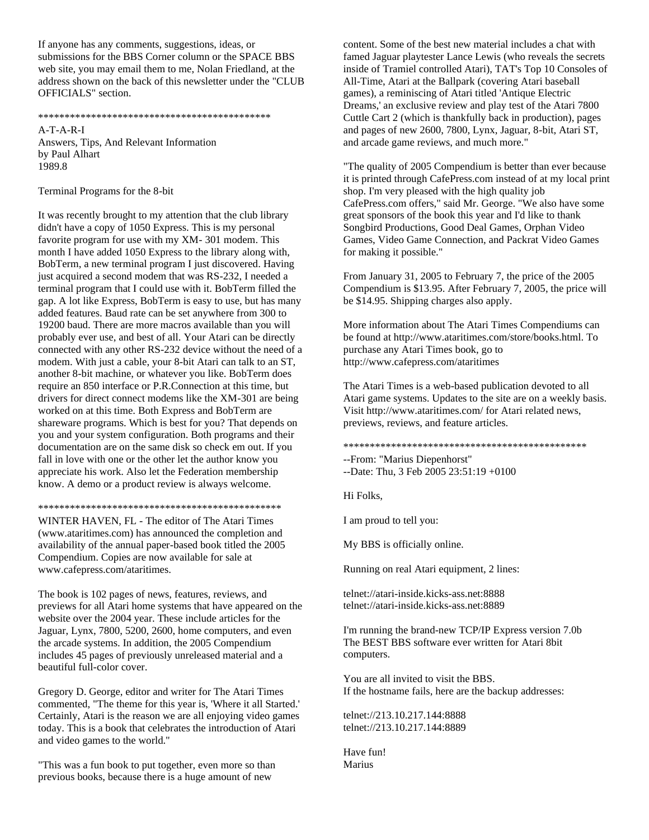If anyone has any comments, suggestions, ideas, or submissions for the BBS Corner column or the SPACE BBS web site, you may email them to me, Nolan Friedland, at the address shown on the back of this newsletter under the "CLUB OFFICIALS" section.

#### \*\*\*\*\*\*\*\*\*\*\*\*\*\*\*\*\*\*\*\*\*\*\*\*\*\*\*\*\*\*\*\*\*\*\*\*\*\*\*\*\*\*\*\*

A-T-A-R-I Answers, Tips, And Relevant Information by Paul Alhart 1989.8

Terminal Programs for the 8-bit

It was recently brought to my attention that the club library didn't have a copy of 1050 Express. This is my personal favorite program for use with my XM- 301 modem. This month I have added 1050 Express to the library along with, BobTerm, a new terminal program I just discovered. Having just acquired a second modem that was RS-232, I needed a terminal program that I could use with it. BobTerm filled the gap. A lot like Express, BobTerm is easy to use, but has many added features. Baud rate can be set anywhere from 300 to 19200 baud. There are more macros available than you will probably ever use, and best of all. Your Atari can be directly connected with any other RS-232 device without the need of a modem. With just a cable, your 8-bit Atari can talk to an ST, another 8-bit machine, or whatever you like. BobTerm does require an 850 interface or P.R.Connection at this time, but drivers for direct connect modems like the XM-301 are being worked on at this time. Both Express and BobTerm are shareware programs. Which is best for you? That depends on you and your system configuration. Both programs and their documentation are on the same disk so check em out. If you fall in love with one or the other let the author know you appreciate his work. Also let the Federation membership know. A demo or a product review is always welcome.

#### \*\*\*\*\*\*\*\*\*\*\*\*\*\*\*\*\*\*\*\*\*\*\*\*\*\*\*\*\*\*\*\*\*\*\*\*\*\*\*\*\*\*\*\*\*\*

WINTER HAVEN, FL - The editor of The Atari Times (www.ataritimes.com) has announced the completion and availability of the annual paper-based book titled the 2005 Compendium. Copies are now available for sale at www.cafepress.com/ataritimes.

The book is 102 pages of news, features, reviews, and previews for all Atari home systems that have appeared on the website over the 2004 year. These include articles for the Jaguar, Lynx, 7800, 5200, 2600, home computers, and even the arcade systems. In addition, the 2005 Compendium includes 45 pages of previously unreleased material and a beautiful full-color cover.

Gregory D. George, editor and writer for The Atari Times commented, "The theme for this year is, 'Where it all Started.' Certainly, Atari is the reason we are all enjoying video games today. This is a book that celebrates the introduction of Atari and video games to the world."

"This was a fun book to put together, even more so than previous books, because there is a huge amount of new

content. Some of the best new material includes a chat with famed Jaguar playtester Lance Lewis (who reveals the secrets inside of Tramiel controlled Atari), TAT's Top 10 Consoles of All-Time, Atari at the Ballpark (covering Atari baseball games), a reminiscing of Atari titled 'Antique Electric Dreams,' an exclusive review and play test of the Atari 7800 Cuttle Cart 2 (which is thankfully back in production), pages and pages of new 2600, 7800, Lynx, Jaguar, 8-bit, Atari ST, and arcade game reviews, and much more."

"The quality of 2005 Compendium is better than ever because it is printed through CafePress.com instead of at my local print shop. I'm very pleased with the high quality job CafePress.com offers," said Mr. George. "We also have some great sponsors of the book this year and I'd like to thank Songbird Productions, Good Deal Games, Orphan Video Games, Video Game Connection, and Packrat Video Games for making it possible."

From January 31, 2005 to February 7, the price of the 2005 Compendium is \$13.95. After February 7, 2005, the price will be \$14.95. Shipping charges also apply.

More information about The Atari Times Compendiums can be found at http://www.ataritimes.com/store/books.html. To purchase any Atari Times book, go to http://www.cafepress.com/ataritimes

The Atari Times is a web-based publication devoted to all Atari game systems. Updates to the site are on a weekly basis. Visit http://www.ataritimes.com/ for Atari related news, previews, reviews, and feature articles.

#### \*\*\*\*\*\*\*\*\*\*\*\*\*\*\*\*\*\*\*\*\*\*\*\*\*\*\*\*\*\*\*\*\*\*\*\*\*\*\*\*\*\*\*\*\*\*

--From: "Marius Diepenhorst" --Date: Thu, 3 Feb 2005 23:51:19 +0100

Hi Folks,

I am proud to tell you:

My BBS is officially online.

Running on real Atari equipment, 2 lines:

telnet://atari-inside.kicks-ass.net:8888 telnet://atari-inside.kicks-ass.net:8889

I'm running the brand-new TCP/IP Express version 7.0b The BEST BBS software ever written for Atari 8bit computers.

You are all invited to visit the BBS. If the hostname fails, here are the backup addresses:

telnet://213.10.217.144:8888 telnet://213.10.217.144:8889

Have fun! Marius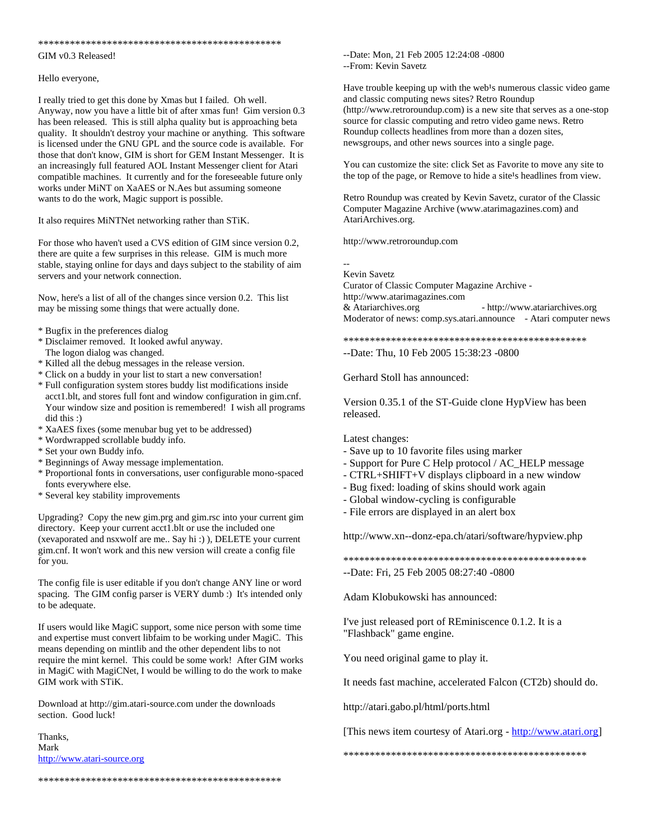#### \*\*\*\*\*\*\*\*\*\*\*\*\*\*\*\*\*\*\*\*\*\*\*\*\*\*\*\*\*\*\*\*\*\*\*\*\*\*\*\*\*\*\*\*\*\*

#### GIM v0.3 Released!

#### Hello everyone,

I really tried to get this done by Xmas but I failed. Oh well. Anyway, now you have a little bit of after xmas fun! Gim version 0.3 has been released. This is still alpha quality but is approaching beta quality. It shouldn't destroy your machine or anything. This software is licensed under the GNU GPL and the source code is available. For those that don't know, GIM is short for GEM Instant Messenger. It is an increasingly full featured AOL Instant Messenger client for Atari compatible machines. It currently and for the foreseeable future only works under MiNT on XaAES or N.Aes but assuming someone wants to do the work, Magic support is possible.

It also requires MiNTNet networking rather than STiK.

For those who haven't used a CVS edition of GIM since version 0.2, there are quite a few surprises in this release. GIM is much more stable, staying online for days and days subject to the stability of aim servers and your network connection.

Now, here's a list of all of the changes since version 0.2. This list may be missing some things that were actually done.

\* Bugfix in the preferences dialog

- \* Disclaimer removed. It looked awful anyway. The logon dialog was changed.
- \* Killed all the debug messages in the release version.
- \* Click on a buddy in your list to start a new conversation!
- \* Full configuration system stores buddy list modifications inside acct1.blt, and stores full font and window configuration in gim.cnf. Your window size and position is remembered! I wish all programs did this :)
- \* XaAES fixes (some menubar bug yet to be addressed)
- \* Wordwrapped scrollable buddy info.
- \* Set your own Buddy info.
- \* Beginnings of Away message implementation.
- \* Proportional fonts in conversations, user configurable mono-spaced fonts everywhere else.
- \* Several key stability improvements

Upgrading? Copy the new gim.prg and gim.rsc into your current gim directory. Keep your current acct1.blt or use the included one (xevaporated and nsxwolf are me.. Say hi :) ), DELETE your current gim.cnf. It won't work and this new version will create a config file for you.

The config file is user editable if you don't change ANY line or word spacing. The GIM config parser is VERY dumb :) It's intended only to be adequate.

If users would like MagiC support, some nice person with some time and expertise must convert libfaim to be working under MagiC. This means depending on mintlib and the other dependent libs to not require the mint kernel. This could be some work! After GIM works in MagiC with MagiCNet, I would be willing to do the work to make GIM work with STiK.

Download at http://gim.atari-source.com under the downloads section. Good luck!

\*\*\*\*\*\*\*\*\*\*\*\*\*\*\*\*\*\*\*\*\*\*\*\*\*\*\*\*\*\*\*\*\*\*\*\*\*\*\*\*\*\*\*\*\*\*

Thanks, Mark [http://www.atari-source.org](http://www.atari-source.org/)

--Date: Mon, 21 Feb 2005 12:24:08 -0800 --From: Kevin Savetz

Have trouble keeping up with the web<sup>1</sup>s numerous classic video game and classic computing news sites? Retro Roundup (http://www.retroroundup.com) is a new site that serves as a one-stop source for classic computing and retro video game news. Retro Roundup collects headlines from more than a dozen sites, newsgroups, and other news sources into a single page.

You can customize the site: click Set as Favorite to move any site to the top of the page, or Remove to hide a site<sup>1</sup>s headlines from view.

Retro Roundup was created by Kevin Savetz, curator of the Classic Computer Magazine Archive (www.atarimagazines.com) and AtariArchives.org.

http://www.retroroundup.com

-- Kevin Savetz

Curator of Classic Computer Magazine Archive http://www.atarimagazines.com & Atariarchives.org - http://www.atariarchives.org Moderator of news: comp.sys.atari.announce - Atari computer news

\*\*\*\*\*\*\*\*\*\*\*\*\*\*\*\*\*\*\*\*\*\*\*\*\*\*\*\*\*\*\*\*\*\*\*\*\*\*\*\*\*\*\*\*\*\*

--Date: Thu, 10 Feb 2005 15:38:23 -0800

Gerhard Stoll has announced:

Version 0.35.1 of the ST-Guide clone HypView has been released.

Latest changes:

- Save up to 10 favorite files using marker
- Support for Pure C Help protocol / AC\_HELP message
- CTRL+SHIFT+V displays clipboard in a new window
- Bug fixed: loading of skins should work again
- Global window-cycling is configurable
- File errors are displayed in an alert box

http://www.xn--donz-epa.ch/atari/software/hypview.php

\*\*\*\*\*\*\*\*\*\*\*\*\*\*\*\*\*\*\*\*\*\*\*\*\*\*\*\*\*\*\*\*\*\*\*\*\*\*\*\*\*\*\*\*\*\*

--Date: Fri, 25 Feb 2005 08:27:40 -0800

Adam Klobukowski has announced:

I've just released port of REminiscence 0.1.2. It is a "Flashback" game engine.

You need original game to play it.

It needs fast machine, accelerated Falcon (CT2b) should do.

http://atari.gabo.pl/html/ports.html

[This news item courtesy of Atari.org - [http://www.atari.org\]](http://www.atari.org/)

\*\*\*\*\*\*\*\*\*\*\*\*\*\*\*\*\*\*\*\*\*\*\*\*\*\*\*\*\*\*\*\*\*\*\*\*\*\*\*\*\*\*\*\*\*\*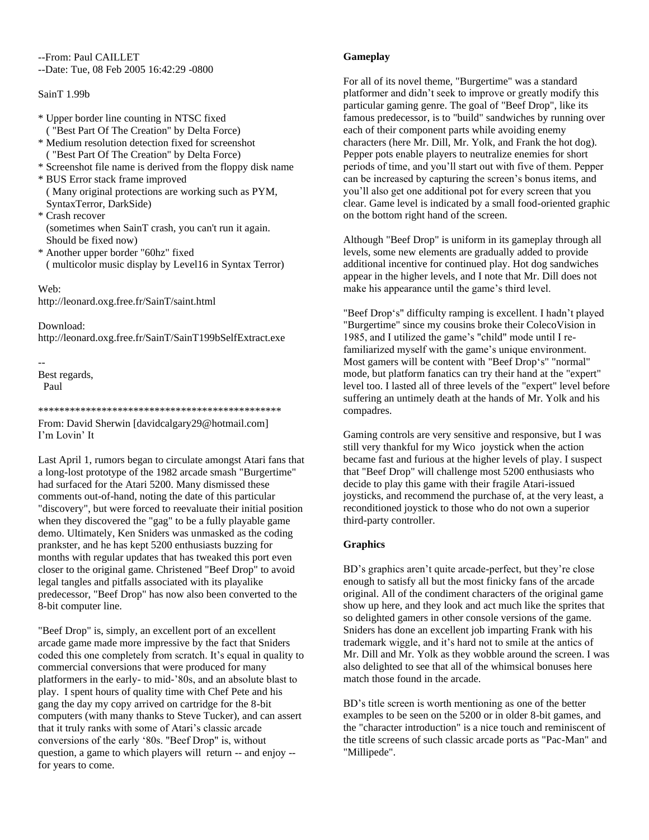--From: Paul CAILLET --Date: Tue, 08 Feb 2005 16:42:29 -0800

### SainT 1.99b

- \* Upper border line counting in NTSC fixed
- ( "Best Part Of The Creation" by Delta Force) \* Medium resolution detection fixed for screenshot
- ( "Best Part Of The Creation" by Delta Force)
- \* Screenshot file name is derived from the floppy disk name
- \* BUS Error stack frame improved ( Many original protections are working such as PYM, SyntaxTerror, DarkSide)
- \* Crash recover (sometimes when SainT crash, you can't run it again. Should be fixed now)
- \* Another upper border "60hz" fixed ( multicolor music display by Level16 in Syntax Terror)

Web: http://leonard.oxg.free.fr/SainT/saint.html

Download: http://leonard.oxg.free.fr/SainT/SainT199bSelfExtract.exe

--

Best regards, Paul

\*\*\*\*\*\*\*\*\*\*\*\*\*\*\*\*\*\*\*\*\*\*\*\*\*\*\*\*\*\*\*\*\*\*\*\*\*\*\*\*\*\*\*\*\*\*

From: David Sherwin [davidcalgary29@hotmail.com] I'm Lovin' It

Last April 1, rumors began to circulate amongst Atari fans that a long-lost prototype of the 1982 arcade smash "Burgertime" had surfaced for the Atari 5200. Many dismissed these comments out-of-hand, noting the date of this particular "discovery", but were forced to reevaluate their initial position when they discovered the "gag" to be a fully playable game demo. Ultimately, Ken Sniders was unmasked as the coding prankster, and he has kept 5200 enthusiasts buzzing for months with regular updates that has tweaked this port even closer to the original game. Christened "Beef Drop" to avoid legal tangles and pitfalls associated with its playalike predecessor, "Beef Drop" has now also been converted to the 8-bit computer line.

"Beef Drop" is, simply, an excellent port of an excellent arcade game made more impressive by the fact that Sniders coded this one completely from scratch. It's equal in quality to commercial conversions that were produced for many platformers in the early- to mid-'80s, and an absolute blast to play. I spent hours of quality time with Chef Pete and his gang the day my copy arrived on cartridge for the 8-bit computers (with many thanks to Steve Tucker), and can assert that it truly ranks with some of Atari's classic arcade conversions of the early '80s. "Beef Drop" is, without question, a game to which players will return -- and enjoy - for years to come.

# **Gameplay**

For all of its novel theme, "Burgertime" was a standard platformer and didn't seek to improve or greatly modify this particular gaming genre. The goal of "Beef Drop", like its famous predecessor, is to "build" sandwiches by running over each of their component parts while avoiding enemy characters (here Mr. Dill, Mr. Yolk, and Frank the hot dog). Pepper pots enable players to neutralize enemies for short periods of time, and you'll start out with five of them. Pepper can be increased by capturing the screen's bonus items, and you'll also get one additional pot for every screen that you clear. Game level is indicated by a small food-oriented graphic on the bottom right hand of the screen.

Although "Beef Drop" is uniform in its gameplay through all levels, some new elements are gradually added to provide additional incentive for continued play. Hot dog sandwiches appear in the higher levels, and I note that Mr. Dill does not make his appearance until the game's third level.

"Beef Drop's" difficulty ramping is excellent. I hadn't played "Burgertime" since my cousins broke their ColecoVision in 1985, and I utilized the game's "child" mode until I refamiliarized myself with the game's unique environment. Most gamers will be content with "Beef Drop's" "normal" mode, but platform fanatics can try their hand at the "expert" level too. I lasted all of three levels of the "expert" level before suffering an untimely death at the hands of Mr. Yolk and his compadres.

Gaming controls are very sensitive and responsive, but I was still very thankful for my Wico joystick when the action became fast and furious at the higher levels of play. I suspect that "Beef Drop" will challenge most 5200 enthusiasts who decide to play this game with their fragile Atari-issued joysticks, and recommend the purchase of, at the very least, a reconditioned joystick to those who do not own a superior third-party controller.

# **Graphics**

BD's graphics aren't quite arcade-perfect, but they're close enough to satisfy all but the most finicky fans of the arcade original. All of the condiment characters of the original game show up here, and they look and act much like the sprites that so delighted gamers in other console versions of the game. Sniders has done an excellent job imparting Frank with his trademark wiggle, and it's hard not to smile at the antics of Mr. Dill and Mr. Yolk as they wobble around the screen. I was also delighted to see that all of the whimsical bonuses here match those found in the arcade.

BD's title screen is worth mentioning as one of the better examples to be seen on the 5200 or in older 8-bit games, and the "character introduction" is a nice touch and reminiscent of the title screens of such classic arcade ports as "Pac-Man" and "Millipede".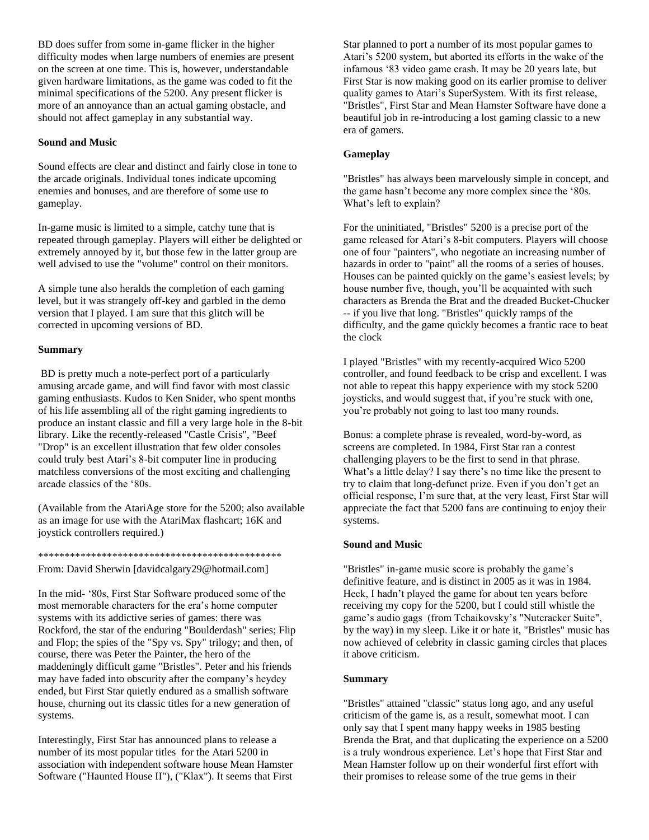BD does suffer from some in-game flicker in the higher difficulty modes when large numbers of enemies are present on the screen at one time. This is, however, understandable given hardware limitations, as the game was coded to fit the minimal specifications of the 5200. Any present flicker is more of an annoyance than an actual gaming obstacle, and should not affect gameplay in any substantial way.

## **Sound and Music**

Sound effects are clear and distinct and fairly close in tone to the arcade originals. Individual tones indicate upcoming enemies and bonuses, and are therefore of some use to gameplay.

In-game music is limited to a simple, catchy tune that is repeated through gameplay. Players will either be delighted or extremely annoyed by it, but those few in the latter group are well advised to use the "volume" control on their monitors.

A simple tune also heralds the completion of each gaming level, but it was strangely off-key and garbled in the demo version that I played. I am sure that this glitch will be corrected in upcoming versions of BD.

### **Summary**

BD is pretty much a note-perfect port of a particularly amusing arcade game, and will find favor with most classic gaming enthusiasts. Kudos to Ken Snider, who spent months of his life assembling all of the right gaming ingredients to produce an instant classic and fill a very large hole in the 8-bit library. Like the recently-released "Castle Crisis", "Beef "Drop" is an excellent illustration that few older consoles could truly best Atari's 8-bit computer line in producing matchless conversions of the most exciting and challenging arcade classics of the '80s.

(Available from the AtariAge store for the 5200; also available as an image for use with the AtariMax flashcart; 16K and joystick controllers required.)

#### \*\*\*\*\*\*\*\*\*\*\*\*\*\*\*\*\*\*\*\*\*\*\*\*\*\*\*\*\*\*\*\*\*\*\*\*\*\*\*\*\*\*\*\*\*\*

From: David Sherwin [davidcalgary29@hotmail.com]

In the mid- '80s, First Star Software produced some of the most memorable characters for the era's home computer systems with its addictive series of games: there was Rockford, the star of the enduring "Boulderdash" series; Flip and Flop; the spies of the "Spy vs. Spy" trilogy; and then, of course, there was Peter the Painter, the hero of the maddeningly difficult game "Bristles". Peter and his friends may have faded into obscurity after the company's heydey ended, but First Star quietly endured as a smallish software house, churning out its classic titles for a new generation of systems.

Interestingly, First Star has announced plans to release a number of its most popular titles for the Atari 5200 in association with independent software house Mean Hamster Software ("Haunted House II"), ("Klax"). It seems that First

Star planned to port a number of its most popular games to Atari's 5200 system, but aborted its efforts in the wake of the infamous '83 video game crash. It may be 20 years late, but First Star is now making good on its earlier promise to deliver quality games to Atari's SuperSystem. With its first release, "Bristles", First Star and Mean Hamster Software have done a beautiful job in re-introducing a lost gaming classic to a new era of gamers.

### **Gameplay**

"Bristles" has always been marvelously simple in concept, and the game hasn't become any more complex since the '80s. What's left to explain?

For the uninitiated, "Bristles" 5200 is a precise port of the game released for Atari's 8-bit computers. Players will choose one of four "painters", who negotiate an increasing number of hazards in order to "paint" all the rooms of a series of houses. Houses can be painted quickly on the game's easiest levels; by house number five, though, you'll be acquainted with such characters as Brenda the Brat and the dreaded Bucket-Chucker -- if you live that long. "Bristles" quickly ramps of the difficulty, and the game quickly becomes a frantic race to beat the clock

I played "Bristles" with my recently-acquired Wico 5200 controller, and found feedback to be crisp and excellent. I was not able to repeat this happy experience with my stock 5200 joysticks, and would suggest that, if you're stuck with one, you're probably not going to last too many rounds.

Bonus: a complete phrase is revealed, word-by-word, as screens are completed. In 1984, First Star ran a contest challenging players to be the first to send in that phrase. What's a little delay? I say there's no time like the present to try to claim that long-defunct prize. Even if you don't get an official response, I'm sure that, at the very least, First Star will appreciate the fact that 5200 fans are continuing to enjoy their systems.

### **Sound and Music**

"Bristles" in-game music score is probably the game's definitive feature, and is distinct in 2005 as it was in 1984. Heck, I hadn't played the game for about ten years before receiving my copy for the 5200, but I could still whistle the game's audio gags (from Tchaikovsky's "Nutcracker Suite", by the way) in my sleep. Like it or hate it, "Bristles" music has now achieved of celebrity in classic gaming circles that places it above criticism.

### **Summary**

"Bristles" attained "classic" status long ago, and any useful criticism of the game is, as a result, somewhat moot. I can only say that I spent many happy weeks in 1985 besting Brenda the Brat, and that duplicating the experience on a 5200 is a truly wondrous experience. Let's hope that First Star and Mean Hamster follow up on their wonderful first effort with their promises to release some of the true gems in their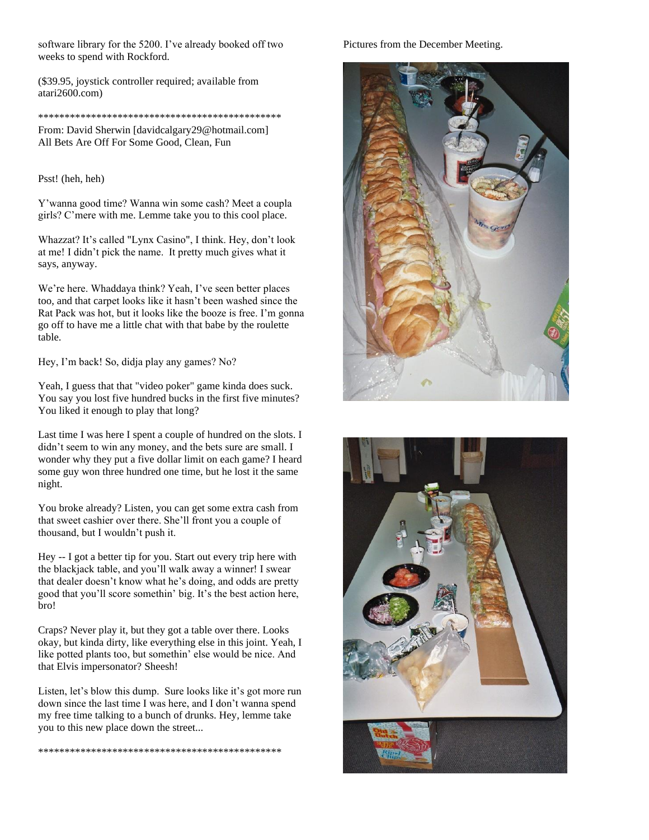software library for the 5200. I've already booked off two weeks to spend with Rockford.

(\$39.95, joystick controller required; available from atari2600.com)

#### \*\*\*\*\*\*\*\*\*\*\*\*\*\*\*\*\*\*\*\*\*\*\*\*\*\*\*\*\*\*\*\*\*\*\*\*\*\*\*\*\*\*\*\*\*\*

From: David Sherwin [davidcalgary29@hotmail.com] All Bets Are Off For Some Good, Clean, Fun

#### Psst! (heh, heh)

Y'wanna good time? Wanna win some cash? Meet a coupla girls? C'mere with me. Lemme take you to this cool place.

Whazzat? It's called "Lynx Casino", I think. Hey, don't look at me! I didn't pick the name. It pretty much gives what it says, anyway.

We're here. Whaddaya think? Yeah, I've seen better places too, and that carpet looks like it hasn't been washed since the Rat Pack was hot, but it looks like the booze is free. I'm gonna go off to have me a little chat with that babe by the roulette table.

Hey, I'm back! So, didja play any games? No?

Yeah, I guess that that "video poker" game kinda does suck. You say you lost five hundred bucks in the first five minutes? You liked it enough to play that long?

Last time I was here I spent a couple of hundred on the slots. I didn't seem to win any money, and the bets sure are small. I wonder why they put a five dollar limit on each game? I heard some guy won three hundred one time, but he lost it the same night.

You broke already? Listen, you can get some extra cash from that sweet cashier over there. She'll front you a couple of thousand, but I wouldn't push it.

Hey -- I got a better tip for you. Start out every trip here with the blackjack table, and you'll walk away a winner! I swear that dealer doesn't know what he's doing, and odds are pretty good that you'll score somethin' big. It's the best action here, bro!

Craps? Never play it, but they got a table over there. Looks okay, but kinda dirty, like everything else in this joint. Yeah, I like potted plants too, but somethin' else would be nice. And that Elvis impersonator? Sheesh!

Listen, let's blow this dump. Sure looks like it's got more run down since the last time I was here, and I don't wanna spend my free time talking to a bunch of drunks. Hey, lemme take you to this new place down the street...

\*\*\*\*\*\*\*\*\*\*\*\*\*\*\*\*\*\*\*\*\*\*\*\*\*\*\*\*\*\*\*\*\*\*\*\*\*\*\*\*\*\*\*\*\*\*

Pictures from the December Meeting.